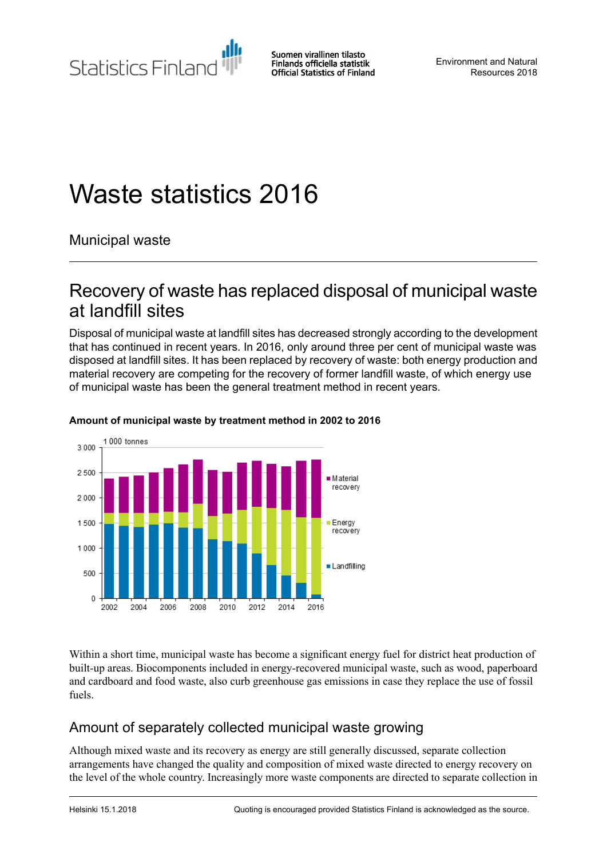Statistics Finland

Suomen virallinen tilasto Finlands officiella statistik **Official Statistics of Finland** 

Environment and Natural Resources 2018

# Waste statistics 2016

Municipal waste

## Recovery of waste has replaced disposal of municipal waste at landfill sites

Disposal of municipal waste at landfill sites has decreased strongly according to the development that has continued in recent years. In 2016, only around three per cent of municipal waste was disposed at landfill sites. It has been replaced by recovery of waste: both energy production and material recovery are competing for the recovery of former landfill waste, of which energy use of municipal waste has been the general treatment method in recent years.



#### **Amount of municipal waste by treatment method in 2002 to 2016**

Within a short time, municipal waste has become a significant energy fuel for district heat production of built-up areas. Biocomponents included in energy-recovered municipal waste, such as wood, paperboard and cardboard and food waste, also curb greenhouse gas emissions in case they replace the use of fossil fuels.

### Amount of separately collected municipal waste growing

Although mixed waste and its recovery as energy are still generally discussed, separate collection arrangements have changed the quality and composition of mixed waste directed to energy recovery on the level of the whole country. Increasingly more waste components are directed to separate collection in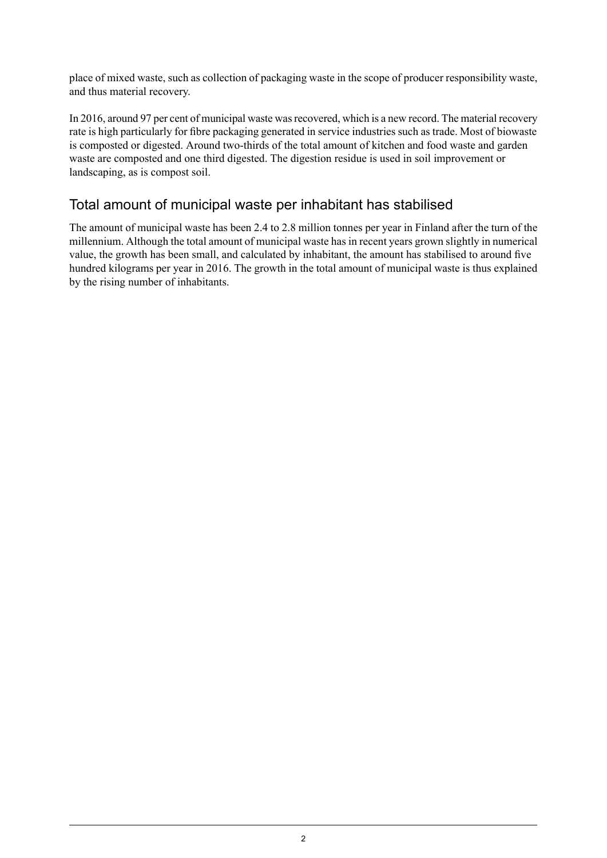place of mixed waste, such as collection of packaging waste in the scope of producer responsibility waste, and thus material recovery.

In 2016, around 97 per cent of municipal waste was recovered, which is a new record. The material recovery rate is high particularly for fibre packaging generated in service industries such as trade. Most of biowaste is composted or digested. Around two-thirds of the total amount of kitchen and food waste and garden waste are composted and one third digested. The digestion residue is used in soil improvement or landscaping, as is compost soil.

### Total amount of municipal waste per inhabitant has stabilised

The amount of municipal waste has been 2.4 to 2.8 million tonnes per year in Finland after the turn of the millennium. Although the total amount of municipal waste has in recent years grown slightly in numerical value, the growth has been small, and calculated by inhabitant, the amount has stabilised to around five hundred kilograms per year in 2016. The growth in the total amount of municipal waste is thus explained by the rising number of inhabitants.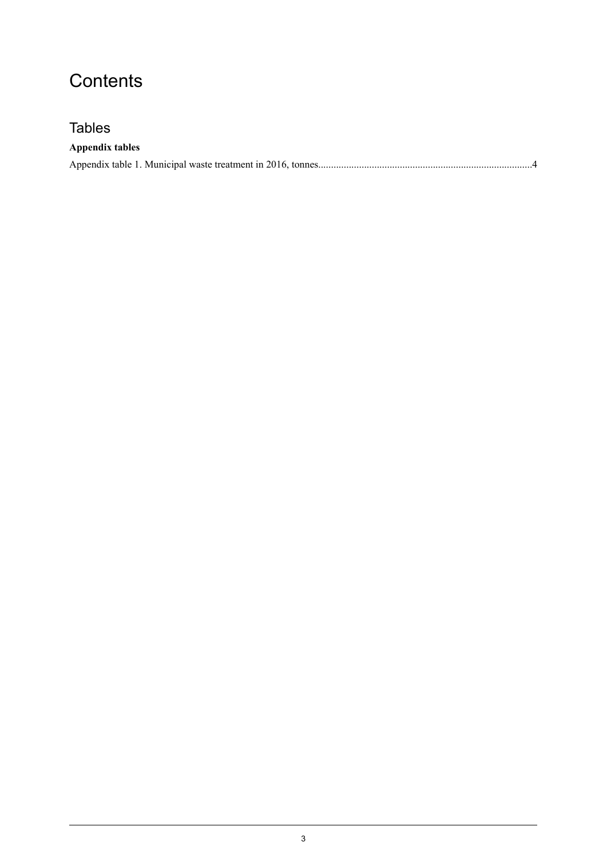# **Contents**

### **Tables**

| <b>Appendix tables</b> |  |
|------------------------|--|
|                        |  |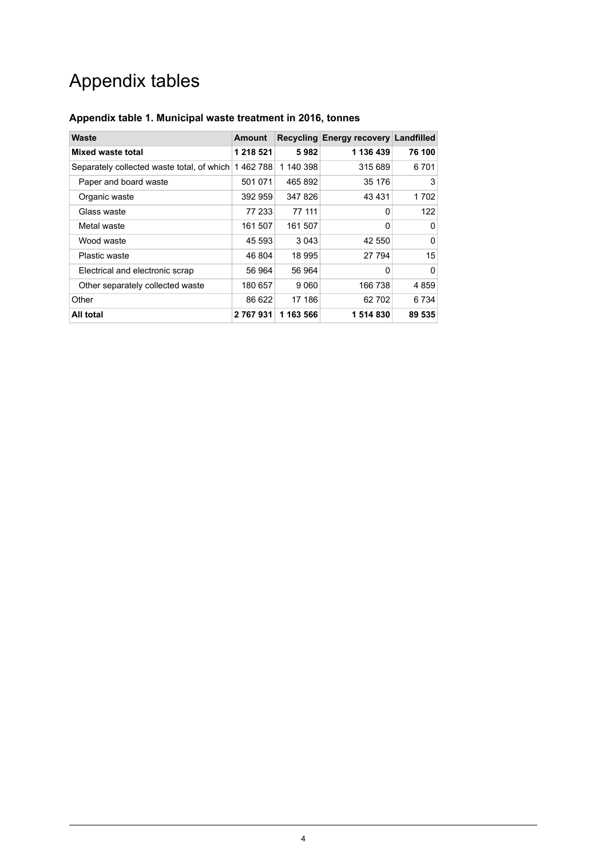# Appendix tables

| Waste                                              | <b>Amount</b> |           | Recycling Energy recovery Landfilled |         |
|----------------------------------------------------|---------------|-----------|--------------------------------------|---------|
| Mixed waste total                                  | 1 218 521     | 5982      | 1 136 439                            | 76 100  |
| Separately collected waste total, of which 1462788 |               | 1 140 398 | 315 689                              | 6701    |
| Paper and board waste                              | 501 071       | 465 892   | 35 176                               | 3       |
| Organic waste                                      | 392 959       | 347 826   | 43431                                | 1 702   |
| Glass waste                                        | 77 233        | 77 111    | 0                                    | 122     |
| Metal waste                                        | 161 507       | 161 507   | 0                                    | 0       |
| Wood waste                                         | 45 593        | 3 0 4 3   | 42 550                               | 0       |
| Plastic waste                                      | 46 804        | 18 995    | 27 794                               | 15      |
| Electrical and electronic scrap                    | 56 964        | 56 964    | 0                                    | 0       |
| Other separately collected waste                   | 180 657       | 9 0 6 0   | 166 738                              | 4859    |
| Other                                              | 86 622        | 17 186    | 62 702                               | 6 7 3 4 |
| All total                                          | 2 767 931     | 1 163 566 | 1514830                              | 89 535  |

#### <span id="page-3-0"></span>**Appendix table 1. Municipal waste treatment in 2016, tonnes**